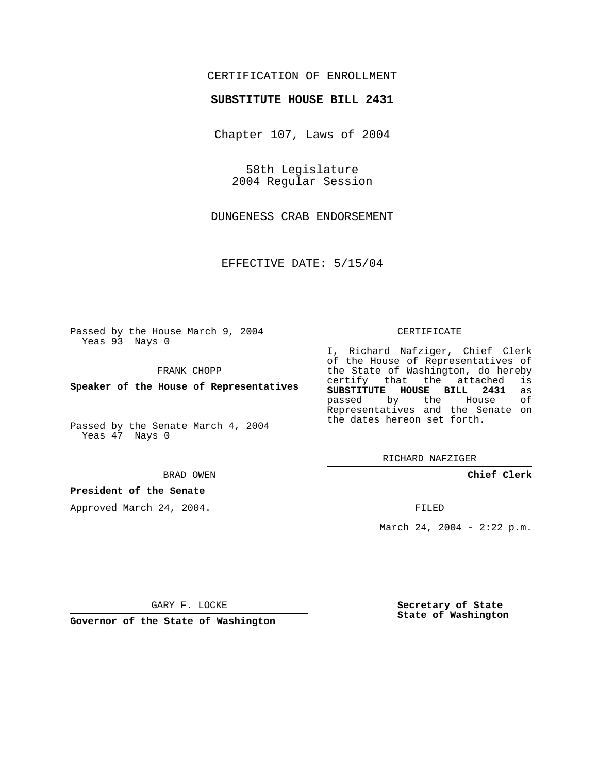## CERTIFICATION OF ENROLLMENT

### **SUBSTITUTE HOUSE BILL 2431**

Chapter 107, Laws of 2004

58th Legislature 2004 Regular Session

DUNGENESS CRAB ENDORSEMENT

EFFECTIVE DATE: 5/15/04

Passed by the House March 9, 2004 Yeas 93 Nays 0

FRANK CHOPP

**Speaker of the House of Representatives**

Passed by the Senate March 4, 2004 Yeas 47 Nays 0

#### BRAD OWEN

### **President of the Senate**

Approved March 24, 2004.

#### CERTIFICATE

I, Richard Nafziger, Chief Clerk of the House of Representatives of the State of Washington, do hereby<br>certify that the attached is certify that the attached **SUBSTITUTE HOUSE BILL 2431** as passed by the House Representatives and the Senate on the dates hereon set forth.

RICHARD NAFZIGER

**Chief Clerk**

FILED

March 24, 2004 - 2:22 p.m.

GARY F. LOCKE

**Governor of the State of Washington**

**Secretary of State State of Washington**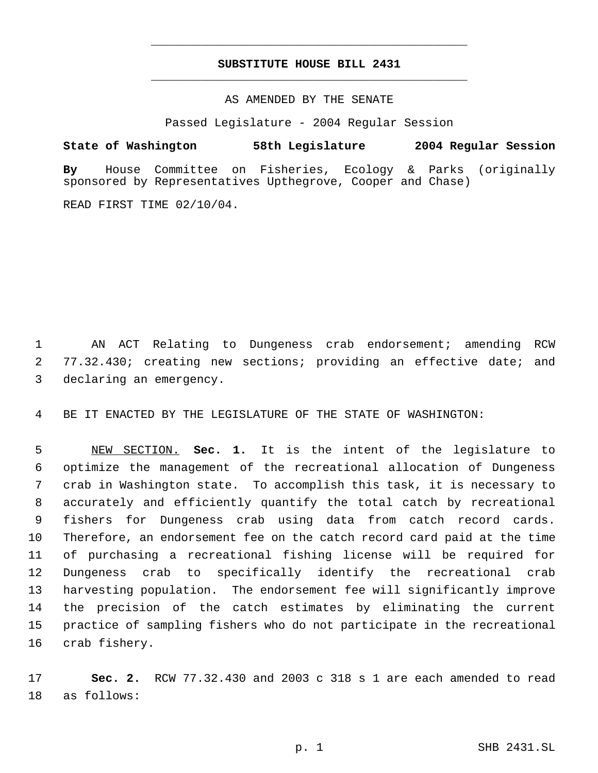# **SUBSTITUTE HOUSE BILL 2431** \_\_\_\_\_\_\_\_\_\_\_\_\_\_\_\_\_\_\_\_\_\_\_\_\_\_\_\_\_\_\_\_\_\_\_\_\_\_\_\_\_\_\_\_\_

\_\_\_\_\_\_\_\_\_\_\_\_\_\_\_\_\_\_\_\_\_\_\_\_\_\_\_\_\_\_\_\_\_\_\_\_\_\_\_\_\_\_\_\_\_

AS AMENDED BY THE SENATE

Passed Legislature - 2004 Regular Session

**State of Washington 58th Legislature 2004 Regular Session By** House Committee on Fisheries, Ecology & Parks (originally sponsored by Representatives Upthegrove, Cooper and Chase)

READ FIRST TIME 02/10/04.

 AN ACT Relating to Dungeness crab endorsement; amending RCW 77.32.430; creating new sections; providing an effective date; and declaring an emergency.

BE IT ENACTED BY THE LEGISLATURE OF THE STATE OF WASHINGTON:

 NEW SECTION. **Sec. 1.** It is the intent of the legislature to optimize the management of the recreational allocation of Dungeness crab in Washington state. To accomplish this task, it is necessary to accurately and efficiently quantify the total catch by recreational fishers for Dungeness crab using data from catch record cards. Therefore, an endorsement fee on the catch record card paid at the time of purchasing a recreational fishing license will be required for Dungeness crab to specifically identify the recreational crab harvesting population. The endorsement fee will significantly improve the precision of the catch estimates by eliminating the current practice of sampling fishers who do not participate in the recreational crab fishery.

 **Sec. 2.** RCW 77.32.430 and 2003 c 318 s 1 are each amended to read as follows: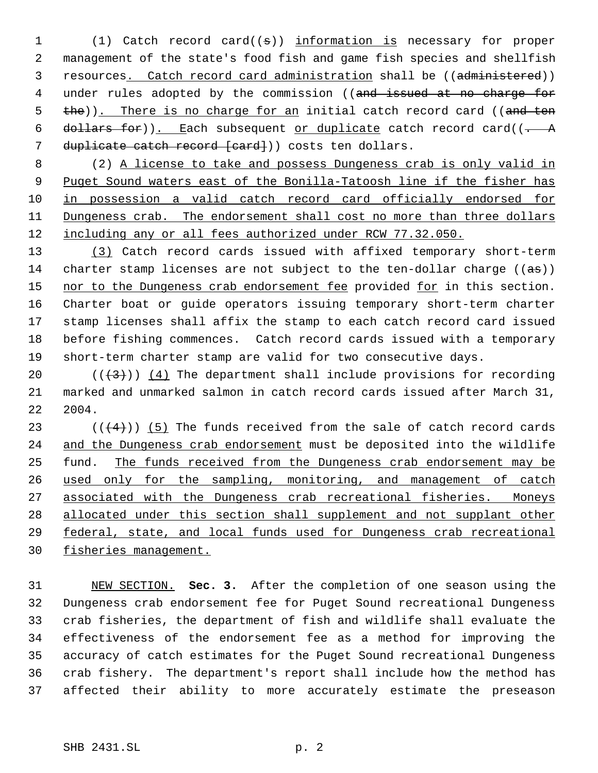(1) Catch record card((s)) information is necessary for proper management of the state's food fish and game fish species and shellfish 3 resources. Catch record card administration shall be ((administered)) 4 under rules adopted by the commission ((and issued at no charge for 5 the)). There is no charge for an initial catch record card ((and ten 6 dollars for)). Each subsequent or duplicate catch record card( $(-$  A 7 duplicate catch record [card]) costs ten dollars.

 (2) A license to take and possess Dungeness crab is only valid in 9 Puget Sound waters east of the Bonilla-Tatoosh line if the fisher has in possession a valid catch record card officially endorsed for 11 Dungeness crab. The endorsement shall cost no more than three dollars 12 <u>including any or all fees authorized under RCW 77.32.050.</u>

 (3) Catch record cards issued with affixed temporary short-term 14 charter stamp licenses are not subject to the ten-dollar charge  $((a\overline{s}))$ 15 nor to the Dungeness crab endorsement fee provided for in this section. Charter boat or guide operators issuing temporary short-term charter stamp licenses shall affix the stamp to each catch record card issued before fishing commences. Catch record cards issued with a temporary short-term charter stamp are valid for two consecutive days.

20  $((+3))$   $(4)$  The department shall include provisions for recording marked and unmarked salmon in catch record cards issued after March 31, 2004.

23 ( $(\overline{+4})$ ) (5) The funds received from the sale of catch record cards 24 and the Dungeness crab endorsement must be deposited into the wildlife 25 fund. The funds received from the Dungeness crab endorsement may be used only for the sampling, monitoring, and management of catch associated with the Dungeness crab recreational fisheries. Moneys allocated under this section shall supplement and not supplant other federal, state, and local funds used for Dungeness crab recreational fisheries management.

 NEW SECTION. **Sec. 3.** After the completion of one season using the Dungeness crab endorsement fee for Puget Sound recreational Dungeness crab fisheries, the department of fish and wildlife shall evaluate the effectiveness of the endorsement fee as a method for improving the accuracy of catch estimates for the Puget Sound recreational Dungeness crab fishery. The department's report shall include how the method has affected their ability to more accurately estimate the preseason